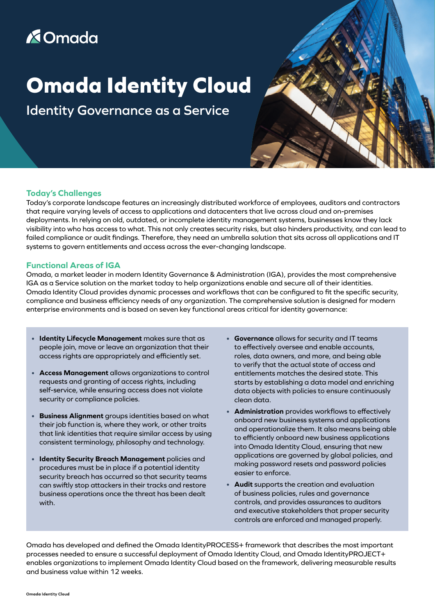### **X**Omada

# **Omada Identity Cloud**

**Identity Governance as a Service**

#### **Today's Challenges**

Today's corporate landscape features an increasingly distributed workforce of employees, auditors and contractors that require varying levels of access to applications and datacenters that live across cloud and on-premises deployments. In relying on old, outdated, or incomplete identity management systems, businesses know they lack visibility into who has access to what. This not only creates security risks, but also hinders productivity, and can lead to failed compliance or audit findings. Therefore, they need an umbrella solution that sits across all applications and IT systems to govern entitlements and access across the ever-changing landscape.

#### **Functional Areas of IGA**

Omada, a market leader in modern Identity Governance & Administration (IGA), provides the most comprehensive IGA as a Service solution on the market today to help organizations enable and secure all of their identities. Omada Identity Cloud provides dynamic processes and workflows that can be configured to fit the specific security, compliance and business efficiency needs of any organization. The comprehensive solution is designed for modern enterprise environments and is based on seven key functional areas critical for identity governance:

- **Identity Lifecycle Management** makes sure that as people join, move or leave an organization that their access rights are appropriately and efficiently set.
- **Access Management** allows organizations to control requests and granting of access rights, including self-service, while ensuring access does not violate security or compliance policies.
- **Business Alignment** groups identities based on what their job function is, where they work, or other traits that link identities that require similar access by using consistent terminology, philosophy and technology.
- **Identity Security Breach Management** policies and procedures must be in place if a potential identity security breach has occurred so that security teams can swiftly stop attackers in their tracks and restore business operations once the threat has been dealt with.
- **Governance** allows for security and IT teams to effectively oversee and enable accounts, roles, data owners, and more, and being able to verify that the actual state of access and entitlements matches the desired state. This starts by establishing a data model and enriching data objects with policies to ensure continuously clean data.
- **Administration** provides workflows to effectively onboard new business systems and applications and operationalize them. It also means being able to efficiently onboard new business applications into Omada Identity Cloud, ensuring that new applications are governed by global policies, and making password resets and password policies easier to enforce.
- **Audit** supports the creation and evaluation of business policies, rules and governance controls, and provides assurances to auditors and executive stakeholders that proper security controls are enforced and managed properly.

Omada has developed and defined the Omada IdentityPROCESS+ framework that describes the most important processes needed to ensure a successful deployment of Omada Identity Cloud, and Omada IdentityPROJECT+ enables organizations to implement Omada Identity Cloud based on the framework, delivering measurable results and business value within 12 weeks.